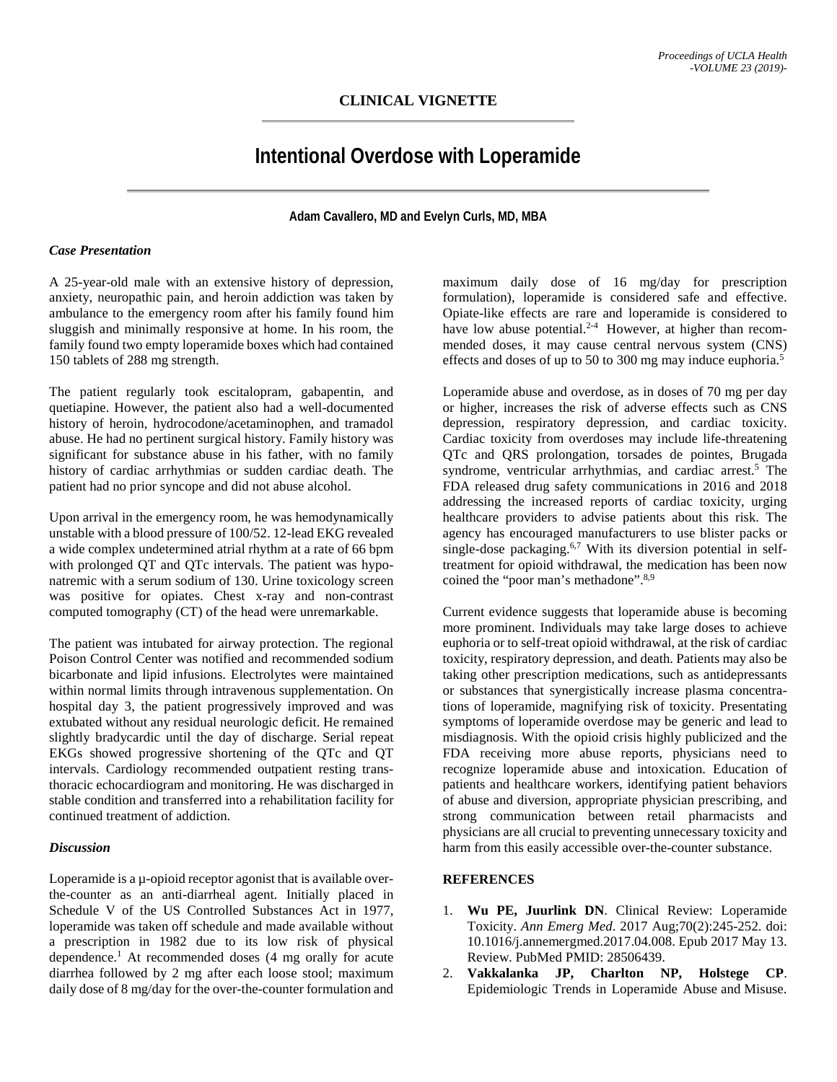## **CLINICAL VIGNETTE**

# **Intentional Overdose with Loperamide**

#### **Adam Cavallero, MD and Evelyn Curls, MD, MBA**

#### *Case Presentation*

A 25-year-old male with an extensive history of depression, anxiety, neuropathic pain, and heroin addiction was taken by ambulance to the emergency room after his family found him sluggish and minimally responsive at home. In his room, the family found two empty loperamide boxes which had contained 150 tablets of 288 mg strength.

The patient regularly took escitalopram, gabapentin, and quetiapine. However, the patient also had a well-documented history of heroin, hydrocodone/acetaminophen, and tramadol abuse. He had no pertinent surgical history. Family history was significant for substance abuse in his father, with no family history of cardiac arrhythmias or sudden cardiac death. The patient had no prior syncope and did not abuse alcohol.

Upon arrival in the emergency room, he was hemodynamically unstable with a blood pressure of 100/52. 12-lead EKG revealed a wide complex undetermined atrial rhythm at a rate of 66 bpm with prolonged QT and QTc intervals. The patient was hyponatremic with a serum sodium of 130. Urine toxicology screen was positive for opiates. Chest x-ray and non-contrast computed tomography (CT) of the head were unremarkable.

The patient was intubated for airway protection. The regional Poison Control Center was notified and recommended sodium bicarbonate and lipid infusions. Electrolytes were maintained within normal limits through intravenous supplementation. On hospital day 3, the patient progressively improved and was extubated without any residual neurologic deficit. He remained slightly bradycardic until the day of discharge. Serial repeat EKGs showed progressive shortening of the QTc and QT intervals. Cardiology recommended outpatient resting transthoracic echocardiogram and monitoring. He was discharged in stable condition and transferred into a rehabilitation facility for continued treatment of addiction.

### *Discussion*

Loperamide is a  $\mu$ -opioid receptor agonist that is available overthe-counter as an anti-diarrheal agent. Initially placed in Schedule V of the US Controlled Substances Act in 1977, loperamide was taken off schedule and made available without a prescription in 1982 due to its low risk of physical dependence.1 At recommended doses (4 mg orally for acute diarrhea followed by 2 mg after each loose stool; maximum daily dose of 8 mg/day for the over-the-counter formulation and

maximum daily dose of 16 mg/day for prescription formulation), loperamide is considered safe and effective. Opiate-like effects are rare and loperamide is considered to have low abuse potential.<sup>2-4</sup> However, at higher than recommended doses, it may cause central nervous system (CNS) effects and doses of up to 50 to 300 mg may induce euphoria.5

Loperamide abuse and overdose, as in doses of 70 mg per day or higher, increases the risk of adverse effects such as CNS depression, respiratory depression, and cardiac toxicity. Cardiac toxicity from overdoses may include life-threatening QTc and QRS prolongation, torsades de pointes, Brugada syndrome, ventricular arrhythmias, and cardiac arrest.<sup>5</sup> The FDA released drug safety communications in 2016 and 2018 addressing the increased reports of cardiac toxicity, urging healthcare providers to advise patients about this risk. The agency has encouraged manufacturers to use blister packs or single-dose packaging.<sup>6,7</sup> With its diversion potential in selftreatment for opioid withdrawal, the medication has been now coined the "poor man's methadone".<sup>8,9</sup>

Current evidence suggests that loperamide abuse is becoming more prominent. Individuals may take large doses to achieve euphoria or to self-treat opioid withdrawal, at the risk of cardiac toxicity, respiratory depression, and death. Patients may also be taking other prescription medications, such as antidepressants or substances that synergistically increase plasma concentrations of loperamide, magnifying risk of toxicity. Presentating symptoms of loperamide overdose may be generic and lead to misdiagnosis. With the opioid crisis highly publicized and the FDA receiving more abuse reports, physicians need to recognize loperamide abuse and intoxication. Education of patients and healthcare workers, identifying patient behaviors of abuse and diversion, appropriate physician prescribing, and strong communication between retail pharmacists and physicians are all crucial to preventing unnecessary toxicity and harm from this easily accessible over-the-counter substance.

#### **REFERENCES**

- 1. **Wu PE, Juurlink DN**. Clinical Review: Loperamide Toxicity. *Ann Emerg Med*. 2017 Aug;70(2):245-252. doi: 10.1016/j.annemergmed.2017.04.008. Epub 2017 May 13. Review. PubMed PMID: 28506439.
- 2. **Vakkalanka JP, Charlton NP, Holstege CP**. Epidemiologic Trends in Loperamide Abuse and Misuse.